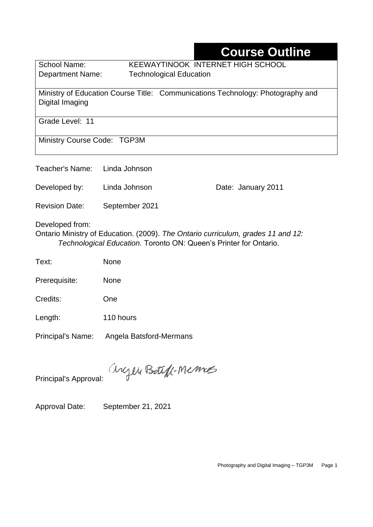# **Course Outline**

School Name: KEEWAYTINOOK INTERNET HIGH SCHOOL Department Name:Technological Education

Ministry of Education Course Title:Communications Technology: Photography and Digital Imaging

Grade Level: 11

Ministry Course Code: TGP3M

Teacher's Name: Linda Johnson

Developed by: Linda Johnson Date: January 2011

Revision Date: September 2021

Developed from:

Ontario Ministry of Education. (2009). *The Ontario curriculum, grades 11 and 12: Technological Education.* Toronto ON: Queen's Printer for Ontario.

| Text: | None |
|-------|------|
|-------|------|

Prerequisite: None

Credits: One

Length: 110 hours

Principal's Name: Angela Batsford-Mermans

anyen Boteff-Memos

Principal's Approval:

Approval Date: September 21, 2021

Photography and Digital Imaging – TGP3M Page 1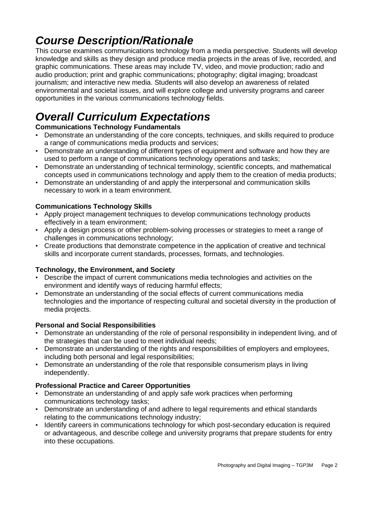# *Course Description/Rationale*

This course examines communications technology from a media perspective. Students will develop knowledge and skills as they design and produce media projects in the areas of live, recorded, and graphic communications. These areas may include TV, video, and movie production; radio and audio production; print and graphic communications; photography; digital imaging; broadcast journalism; and interactive new media. Students will also develop an awareness of related environmental and societal issues, and will explore college and university programs and career opportunities in the various communications technology fields.

# *Overall Curriculum Expectations*

#### **Communications Technology Fundamentals**

- Demonstrate an understanding of the core concepts, techniques, and skills required to produce a range of communications media products and services;
- Demonstrate an understanding of different types of equipment and software and how they are used to perform a range of communications technology operations and tasks;
- Demonstrate an understanding of technical terminology, scientific concepts, and mathematical concepts used in communications technology and apply them to the creation of media products;
- Demonstrate an understanding of and apply the interpersonal and communication skills necessary to work in a team environment.

#### **Communications Technology Skills**

- Apply project management techniques to develop communications technology products effectively in a team environment;
- Apply a design process or other problem-solving processes or strategies to meet a range of challenges in communications technology;
- Create productions that demonstrate competence in the application of creative and technical skills and incorporate current standards, processes, formats, and technologies.

#### **Technology, the Environment, and Society**

- Describe the impact of current communications media technologies and activities on the environment and identify ways of reducing harmful effects;
- Demonstrate an understanding of the social effects of current communications media technologies and the importance of respecting cultural and societal diversity in the production of media projects.

#### **Personal and Social Responsibilities**

- Demonstrate an understanding of the role of personal responsibility in independent living, and of the strategies that can be used to meet individual needs;
- Demonstrate an understanding of the rights and responsibilities of employers and employees, including both personal and legal responsibilities;
- Demonstrate an understanding of the role that responsible consumerism plays in living independently.

#### **Professional Practice and Career Opportunities**

- Demonstrate an understanding of and apply safe work practices when performing communications technology tasks;
- Demonstrate an understanding of and adhere to legal requirements and ethical standards relating to the communications technology industry;
- Identify careers in communications technology for which post-secondary education is required or advantageous, and describe college and university programs that prepare students for entry into these occupations.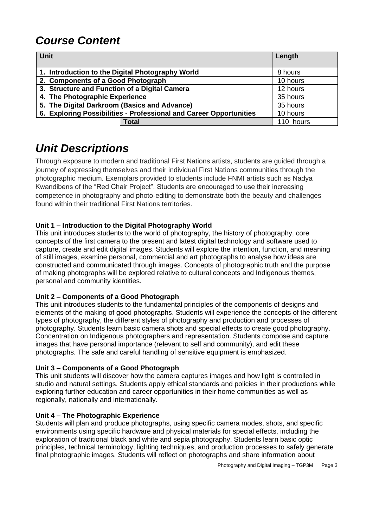# *Course Content*

| <b>Unit</b>                                                        | Length    |
|--------------------------------------------------------------------|-----------|
| 1. Introduction to the Digital Photography World                   | 8 hours   |
| 2. Components of a Good Photograph                                 | 10 hours  |
| 3. Structure and Function of a Digital Camera                      | 12 hours  |
| 4. The Photographic Experience                                     | 35 hours  |
| 5. The Digital Darkroom (Basics and Advance)                       | 35 hours  |
| 6. Exploring Possibilities - Professional and Career Opportunities | 10 hours  |
| <b>Total</b>                                                       | 110 hours |

# *Unit Descriptions*

Through exposure to modern and traditional First Nations artists, students are guided through a journey of expressing themselves and their individual First Nations communities through the photographic medium. Exemplars provided to students include FNMI artists such as Nadya Kwandibens of the "Red Chair Project". Students are encouraged to use their increasing competence in photography and photo-editing to demonstrate both the beauty and challenges found within their traditional First Nations territories.

#### **Unit 1 – Introduction to the Digital Photography World**

This unit introduces students to the world of photography, the history of photography, core concepts of the first camera to the present and latest digital technology and software used to capture, create and edit digital images. Students will explore the intention, function, and meaning of still images, examine personal, commercial and art photographs to analyse how ideas are constructed and communicated through images. Concepts of photographic truth and the purpose of making photographs will be explored relative to cultural concepts and Indigenous themes, personal and community identities.

#### **Unit 2 – Components of a Good Photograph**

This unit introduces students to the fundamental principles of the components of designs and elements of the making of good photographs. Students will experience the concepts of the different types of photography, the different styles of photography and production and processes of photography. Students learn basic camera shots and special effects to create good photography. Concentration on Indigenous photographers and representation. Students compose and capture images that have personal importance (relevant to self and community), and edit these photographs. The safe and careful handling of sensitive equipment is emphasized.

#### **Unit 3 – Components of a Good Photograph**

This unit students will discover how the camera captures images and how light is controlled in studio and natural settings. Students apply ethical standards and policies in their productions while exploring further education and career opportunities in their home communities as well as regionally, nationally and internationally.

#### **Unit 4 – The Photographic Experience**

Students will plan and produce photographs, using specific camera modes, shots, and specific environments using specific hardware and physical materials for special effects, including the exploration of traditional black and white and sepia photography. Students learn basic optic principles, technical terminology, lighting techniques, and production processes to safely generate final photographic images. Students will reflect on photographs and share information about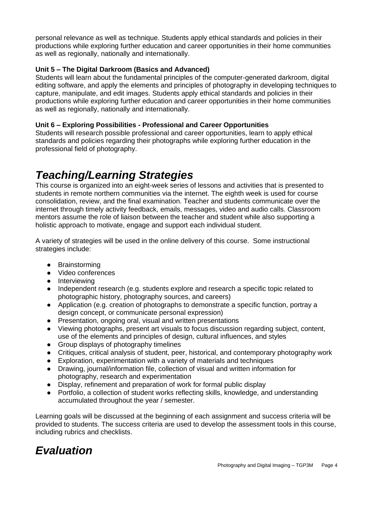personal relevance as well as technique. Students apply ethical standards and policies in their productions while exploring further education and career opportunities in their home communities as well as regionally, nationally and internationally.

#### **Unit 5 – The Digital Darkroom (Basics and Advanced)**

Students will learn about the fundamental principles of the computer-generated darkroom, digital editing software, and apply the elements and principles of photography in developing techniques to capture, manipulate, and edit images. Students apply ethical standards and policies in their productions while exploring further education and career opportunities in their home communities as well as regionally, nationally and internationally.

#### **Unit 6 – Exploring Possibilities - Professional and Career Opportunities**

Students will research possible professional and career opportunities, learn to apply ethical standards and policies regarding their photographs while exploring further education in the professional field of photography.

### *Teaching/Learning Strategies*

This course is organized into an eight-week series of lessons and activities that is presented to students in remote northern communities via the internet. The eighth week is used for course consolidation, review, and the final examination. Teacher and students communicate over the internet through timely activity feedback, emails, messages, video and audio calls. Classroom mentors assume the role of liaison between the teacher and student while also supporting a holistic approach to motivate, engage and support each individual student.

A variety of strategies will be used in the online delivery of this course. Some instructional strategies include:

- Brainstorming
- Video conferences
- Interviewing
- Independent research (e.g. students explore and research a specific topic related to photographic history, photography sources, and careers)
- Application (e.g. creation of photographs to demonstrate a specific function, portray a design concept, or communicate personal expression)
- Presentation, ongoing oral, visual and written presentations
- Viewing photographs, present art visuals to focus discussion regarding subject, content, use of the elements and principles of design, cultural influences, and styles
- Group displays of photography timelines
- Critiques, critical analysis of student, peer, historical, and contemporary photography work
- Exploration, experimentation with a variety of materials and techniques
- Drawing, journal/information file, collection of visual and written information for photography, research and experimentation
- Display, refinement and preparation of work for formal public display
- Portfolio, a collection of student works reflecting skills, knowledge, and understanding accumulated throughout the year / semester.

Learning goals will be discussed at the beginning of each assignment and success criteria will be provided to students. The success criteria are used to develop the assessment tools in this course, including rubrics and checklists.

### *Evaluation*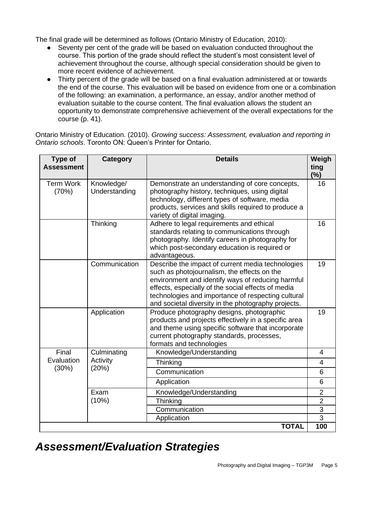The final grade will be determined as follows (Ontario Ministry of Education, 2010):

- Seventy per cent of the grade will be based on evaluation conducted throughout the course. This portion of the grade should reflect the student's most consistent level of achievement throughout the course, although special consideration should be given to more recent evidence of achievement.
- Thirty percent of the grade will be based on a final evaluation administered at or towards the end of the course. This evaluation will be based on evidence from one or a combination of the following: an examination, a performance, an essay, and/or another method of evaluation suitable to the course content. The final evaluation allows the student an opportunity to demonstrate comprehensive achievement of the overall expectations for the course (p. 41).

Ontario Ministry of Education. (2010). *Growing success: Assessment, evaluation and reporting in Ontario schools*. Toronto ON: Queen's Printer for Ontario.

| Type of<br><b>Assessment</b> | <b>Category</b>             | <b>Details</b>                                                                                                                                                                                                                                                                                                           | Weigh<br>ting<br>(%)             |
|------------------------------|-----------------------------|--------------------------------------------------------------------------------------------------------------------------------------------------------------------------------------------------------------------------------------------------------------------------------------------------------------------------|----------------------------------|
| <b>Term Work</b><br>(70%)    | Knowledge/<br>Understanding | Demonstrate an understanding of core concepts,<br>photography history, techniques, using digital<br>technology, different types of software, media<br>products, services and skills required to produce a<br>variety of digital imaging.                                                                                 | 16                               |
|                              | Thinking                    | Adhere to legal requirements and ethical<br>standards relating to communications through<br>photography. Identify careers in photography for<br>which post-secondary education is required or<br>advantageous.                                                                                                           | 16                               |
|                              | Communication               | Describe the impact of current media technologies<br>such as photojournalism, the effects on the<br>environment and identify ways of reducing harmful<br>effects, especially of the social effects of media<br>technologies and importance of respecting cultural<br>and societal diversity in the photography projects. | 19                               |
|                              | Application                 | Produce photography designs, photographic<br>products and projects effectively in a specific area<br>and theme using specific software that incorporate<br>current photography standards, processes,<br>formats and technologies                                                                                         | 19                               |
| Final<br>Evaluation<br>(30%) | Culminating                 | Knowledge/Understanding                                                                                                                                                                                                                                                                                                  | 4                                |
|                              | Activity<br>(20%)           | Thinking                                                                                                                                                                                                                                                                                                                 | 4                                |
|                              |                             | Communication                                                                                                                                                                                                                                                                                                            | 6                                |
|                              |                             | Application                                                                                                                                                                                                                                                                                                              | 6                                |
|                              | Exam<br>(10%)               | Knowledge/Understanding<br>Thinking                                                                                                                                                                                                                                                                                      | $\overline{2}$<br>$\overline{2}$ |
|                              |                             | Communication                                                                                                                                                                                                                                                                                                            | 3                                |
|                              |                             | Application                                                                                                                                                                                                                                                                                                              | 3                                |
|                              |                             | <b>TOTAL</b>                                                                                                                                                                                                                                                                                                             | 100                              |

### *Assessment/Evaluation Strategies*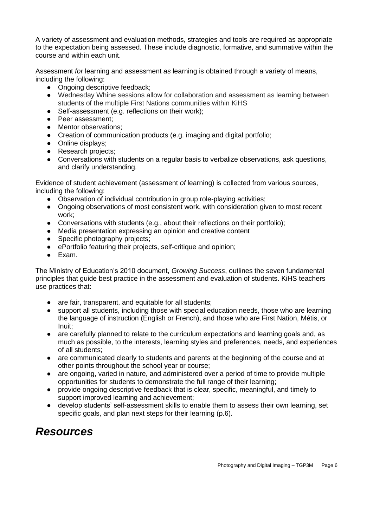A variety of assessment and evaluation methods, strategies and tools are required as appropriate to the expectation being assessed. These include diagnostic, formative, and summative within the course and within each unit.

Assessment *for* learning and assessment *as* learning is obtained through a variety of means, including the following:

- Ongoing descriptive feedback;
- Wednesday Whine sessions allow for collaboration and assessment as learning between students of the multiple First Nations communities within KiHS
- Self-assessment (e.g. reflections on their work);
- Peer assessment;
- Mentor observations;
- Creation of communication products (e.g. imaging and digital portfolio;
- Online displays;
- Research projects:
- Conversations with students on a regular basis to verbalize observations, ask questions, and clarify understanding.

Evidence of student achievement (assessment *of* learning) is collected from various sources, including the following:

- Observation of individual contribution in group role-playing activities;
- Ongoing observations of most consistent work, with consideration given to most recent work;
- Conversations with students (e.g., about their reflections on their portfolio);
- Media presentation expressing an opinion and creative content
- Specific photography projects:
- ePortfolio featuring their projects, self-critique and opinion;
- Exam.

The Ministry of Education's 2010 document, *Growing Success*, outlines the seven fundamental principles that guide best practice in the assessment and evaluation of students. KiHS teachers use practices that:

- are fair, transparent, and equitable for all students;
- support all students, including those with special education needs, those who are learning the language of instruction (English or French), and those who are First Nation, Métis, or Inuit;
- are carefully planned to relate to the curriculum expectations and learning goals and, as much as possible, to the interests, learning styles and preferences, needs, and experiences of all students;
- are communicated clearly to students and parents at the beginning of the course and at other points throughout the school year or course;
- are ongoing, varied in nature, and administered over a period of time to provide multiple opportunities for students to demonstrate the full range of their learning;
- provide ongoing descriptive feedback that is clear, specific, meaningful, and timely to support improved learning and achievement;
- develop students' self-assessment skills to enable them to assess their own learning, set specific goals, and plan next steps for their learning (p.6).

## *Resources*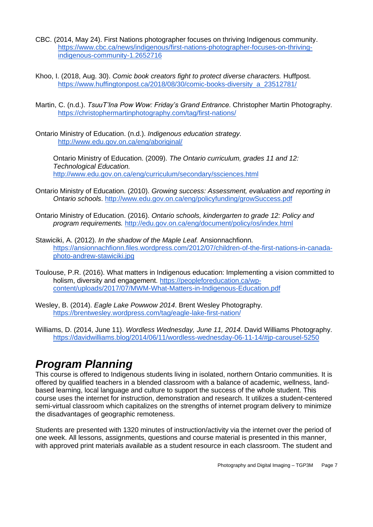- CBC. (2014, May 24). First Nations photographer focuses on thriving Indigenous community. [https://www.cbc.ca/news/indigenous/first-nations-photographer-focuses-on-thriving](https://www.cbc.ca/news/indigenous/first-nations-photographer-focuses-on-thriving-indigenous-community-1.2652716)[indigenous-community-1.2652716](https://www.cbc.ca/news/indigenous/first-nations-photographer-focuses-on-thriving-indigenous-community-1.2652716)
- Khoo, I. (2018, Aug. 30). *Comic book creators fight to protect diverse characters.* Huffpost. [https://www.huffingtonpost.ca/2018/08/30/comic-books-diversity\\_a\\_23512781/](https://www.huffingtonpost.ca/2018/08/30/comic-books-diversity_a_23512781/)
- Martin, C. (n.d.). *TsuuT'Ina Pow Wow: Friday's Grand Entrance*. Christopher Martin Photography. <https://christophermartinphotography.com/tag/first-nations/>
- Ontario Ministry of Education. (n.d.). *Indigenous education strategy.* <http://www.edu.gov.on.ca/eng/aboriginal/>

Ontario Ministry of Education. (2009). *The Ontario curriculum, grades 11 and 12: Technological Education.*  <http://www.edu.gov.on.ca/eng/curriculum/secondary/ssciences.html>

- Ontario Ministry of Education. (2010). *Growing success: Assessment, evaluation and reporting in Ontario schools*.<http://www.edu.gov.on.ca/eng/policyfunding/growSuccess.pdf>
- Ontario Ministry of Education. (2016). *Ontario schools, kindergarten to grade 12: Policy and program requirements.* <http://edu.gov.on.ca/eng/document/policy/os/index.html>
- Stawiciki, A. (2012). *In the shadow of the Maple Leaf.* Ansionnachfionn. [https://ansionnachfionn.files.wordpress.com/2012/07/children-of-the-first-nations-in-canada](https://ansionnachfionn.files.wordpress.com/2012/07/children-of-the-first-nations-in-canada-photo-andrew-stawiciki.jpg)[photo-andrew-stawiciki.jpg](https://ansionnachfionn.files.wordpress.com/2012/07/children-of-the-first-nations-in-canada-photo-andrew-stawiciki.jpg)
- Toulouse, P.R. (2016). What matters in Indigenous education: Implementing a vision committed to holism, diversity and engagement. [https://peopleforeducation.ca/wp](https://peopleforeducation.ca/wp-content/uploads/2017/07/MWM-What-Matters-in-Indigenous-Education.pdf)[content/uploads/2017/07/MWM-What-Matters-in-Indigenous-Education.pdf](https://peopleforeducation.ca/wp-content/uploads/2017/07/MWM-What-Matters-in-Indigenous-Education.pdf)
- Wesley, B. (2014). *Eagle Lake Powwow 2014*. Brent Wesley Photography. <https://brentwesley.wordpress.com/tag/eagle-lake-first-nation/>
- Williams, D. (2014, June 11). *Wordless Wednesday, June 11, 2014*. David Williams Photography. <https://davidwilliams.blog/2014/06/11/wordless-wednesday-06-11-14/#jp-carousel-5250>

### *Program Planning*

This course is offered to Indigenous students living in isolated, northern Ontario communities. It is offered by qualified teachers in a blended classroom with a balance of academic, wellness, landbased learning, local language and culture to support the success of the whole student. This course uses the internet for instruction, demonstration and research. It utilizes a student-centered semi-virtual classroom which capitalizes on the strengths of internet program delivery to minimize the disadvantages of geographic remoteness.

Students are presented with 1320 minutes of instruction/activity via the internet over the period of one week. All lessons, assignments, questions and course material is presented in this manner, with approved print materials available as a student resource in each classroom. The student and